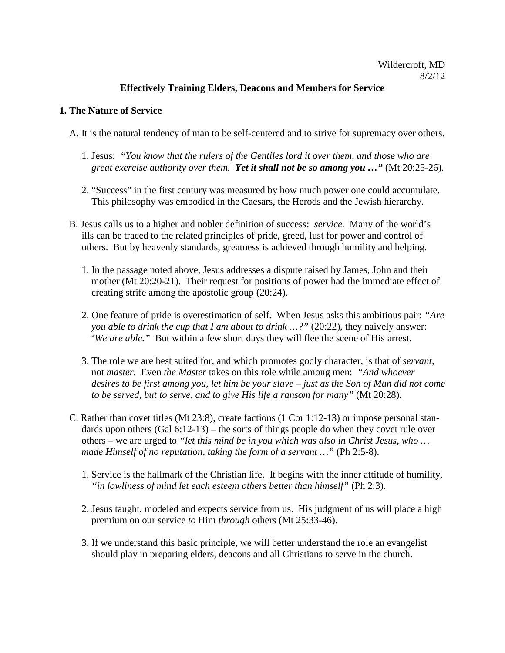# Wildercroft, MD 8/2/12

## **Effectively Training Elders, Deacons and Members for Service**

#### **1. The Nature of Service**

- A. It is the natural tendency of man to be self-centered and to strive for supremacy over others.
	- 1. Jesus: *"You know that the rulers of the Gentiles lord it over them, and those who are great exercise authority over them. Yet it shall not be so among you …"* (Mt 20:25-26).
	- 2. "Success" in the first century was measured by how much power one could accumulate. This philosophy was embodied in the Caesars, the Herods and the Jewish hierarchy.
- B. Jesus calls us to a higher and nobler definition of success: *service.* Many of the world's ills can be traced to the related principles of pride, greed, lust for power and control of others. But by heavenly standards, greatness is achieved through humility and helping.
	- 1. In the passage noted above, Jesus addresses a dispute raised by James, John and their mother (Mt 20:20-21). Their request for positions of power had the immediate effect of creating strife among the apostolic group (20:24).
	- 2. One feature of pride is overestimation of self. When Jesus asks this ambitious pair: *"Are you able to drink the cup that I am about to drink ...?" (20:22), they naively answer: "We are able."* But within a few short days they will flee the scene of His arrest.
	- 3. The role we are best suited for, and which promotes godly character, is that of *servant,* not *master.* Even *the Master* takes on this role while among men: *"And whoever desires to be first among you, let him be your slave – just as the Son of Man did not come to be served, but to serve, and to give His life a ransom for many"* (Mt 20:28).
- C. Rather than covet titles (Mt 23:8), create factions (1 Cor 1:12-13) or impose personal stan dards upon others (Gal 6:12-13) – the sorts of things people do when they covet rule over others – we are urged to *"let this mind be in you which was also in Christ Jesus, who … made Himself of no reputation, taking the form of a servant ...* " (Ph 2:5-8).
	- 1. Service is the hallmark of the Christian life. It begins with the inner attitude of humility, *"in lowliness of mind let each esteem others better than himself"* (Ph 2:3).
	- 2. Jesus taught, modeled and expects service from us. His judgment of us will place a high premium on our service *to* Him *through* others (Mt 25:33-46).
	- 3. If we understand this basic principle, we will better understand the role an evangelist should play in preparing elders, deacons and all Christians to serve in the church.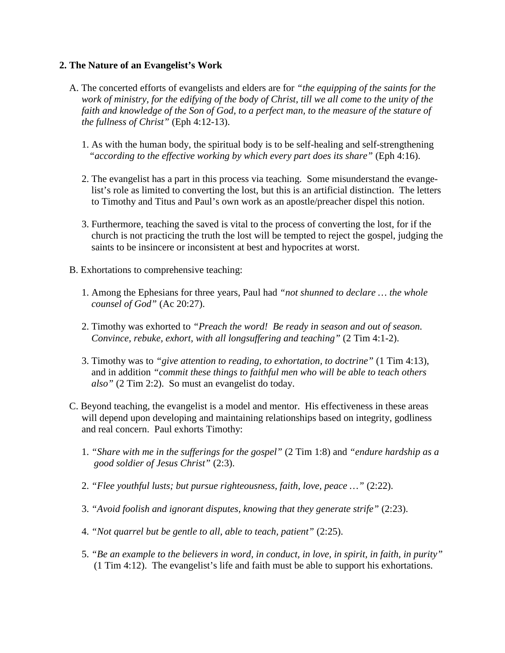#### **2. The Nature of an Evangelist's Work**

- A. The concerted efforts of evangelists and elders are for *"the equipping of the saints for the work of ministry, for the edifying of the body of Christ, till we all come to the unity of the*  faith and knowledge of the Son of God, to a perfect man, to the measure of the stature of  *the fullness of Christ"* (Eph 4:12-13).
	- 1. As with the human body, the spiritual body is to be self-healing and self-strengthening *"according to the effective working by which every part does its share"* (Eph 4:16).
	- 2. The evangelist has a part in this process via teaching. Some misunderstand the evange list's role as limited to converting the lost, but this is an artificial distinction. The letters to Timothy and Titus and Paul's own work as an apostle/preacher dispel this notion.
	- 3. Furthermore, teaching the saved is vital to the process of converting the lost, for if the church is not practicing the truth the lost will be tempted to reject the gospel, judging the saints to be insincere or inconsistent at best and hypocrites at worst.
- B. Exhortations to comprehensive teaching:
	- 1. Among the Ephesians for three years, Paul had *"not shunned to declare … the whole counsel of God"* (Ac 20:27).
	- 2. Timothy was exhorted to *"Preach the word! Be ready in season and out of season. Convince, rebuke, exhort, with all longsuffering and teaching"* (2 Tim 4:1-2).
	- 3. Timothy was to *"give attention to reading, to exhortation, to doctrine"* (1 Tim 4:13), and in addition *"commit these things to faithful men who will be able to teach others also"* (2 Tim 2:2). So must an evangelist do today.
- C. Beyond teaching, the evangelist is a model and mentor. His effectiveness in these areas will depend upon developing and maintaining relationships based on integrity, godliness and real concern. Paul exhorts Timothy:
	- 1. *"Share with me in the sufferings for the gospel"* (2 Tim 1:8) and *"endure hardship as a good soldier of Jesus Christ"* (2:3).
	- 2. *"Flee youthful lusts; but pursue righteousness, faith, love, peace …"* (2:22).
	- 3. *"Avoid foolish and ignorant disputes, knowing that they generate strife"* (2:23).
	- 4. *"Not quarrel but be gentle to all, able to teach, patient"* (2:25).
	- 5. *"Be an example to the believers in word, in conduct, in love, in spirit, in faith, in purity"* (1 Tim 4:12). The evangelist's life and faith must be able to support his exhortations.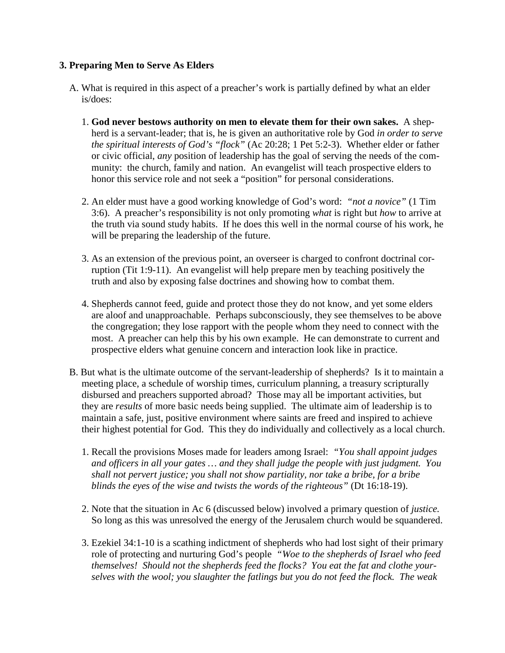## **3. Preparing Men to Serve As Elders**

- A. What is required in this aspect of a preacher's work is partially defined by what an elder is/does:
	- 1. **God never bestows authority on men to elevate them for their own sakes.** A shep herd is a servant-leader; that is, he is given an authoritative role by God *in order to serve the spiritual interests of God's "flock"* (Ac 20:28; 1 Pet 5:2-3). Whether elder or father or civic official, *any* position of leadership has the goal of serving the needs of the com munity: the church, family and nation. An evangelist will teach prospective elders to honor this service role and not seek a "position" for personal considerations.
	- 2. An elder must have a good working knowledge of God's word: *"not a novice"* (1 Tim 3:6). A preacher's responsibility is not only promoting *what* is right but *how* to arrive at the truth via sound study habits. If he does this well in the normal course of his work, he will be preparing the leadership of the future.
	- 3. As an extension of the previous point, an overseer is charged to confront doctrinal cor ruption (Tit 1:9-11). An evangelist will help prepare men by teaching positively the truth and also by exposing false doctrines and showing how to combat them.
	- 4. Shepherds cannot feed, guide and protect those they do not know, and yet some elders are aloof and unapproachable. Perhaps subconsciously, they see themselves to be above the congregation; they lose rapport with the people whom they need to connect with the most. A preacher can help this by his own example. He can demonstrate to current and prospective elders what genuine concern and interaction look like in practice.
- B. But what is the ultimate outcome of the servant-leadership of shepherds? Is it to maintain a meeting place, a schedule of worship times, curriculum planning, a treasury scripturally disbursed and preachers supported abroad? Those may all be important activities, but they are *results* of more basic needs being supplied. The ultimate aim of leadership is to maintain a safe, just, positive environment where saints are freed and inspired to achieve their highest potential for God. This they do individually and collectively as a local church.
	- 1. Recall the provisions Moses made for leaders among Israel: *"You shall appoint judges and officers in all your gates … and they shall judge the people with just judgment. You shall not pervert justice; you shall not show partiality, nor take a bribe, for a bribe blinds the eyes of the wise and twists the words of the righteous"* (Dt 16:18-19).
	- 2. Note that the situation in Ac 6 (discussed below) involved a primary question of *justice.* So long as this was unresolved the energy of the Jerusalem church would be squandered.
	- 3. Ezekiel 34:1-10 is a scathing indictment of shepherds who had lost sight of their primary role of protecting and nurturing God's people*"Woe to the shepherds of Israel who feed themselves! Should not the shepherds feed the flocks? You eat the fat and clothe your selves with the wool; you slaughter the fatlings but you do not feed the flock. The weak*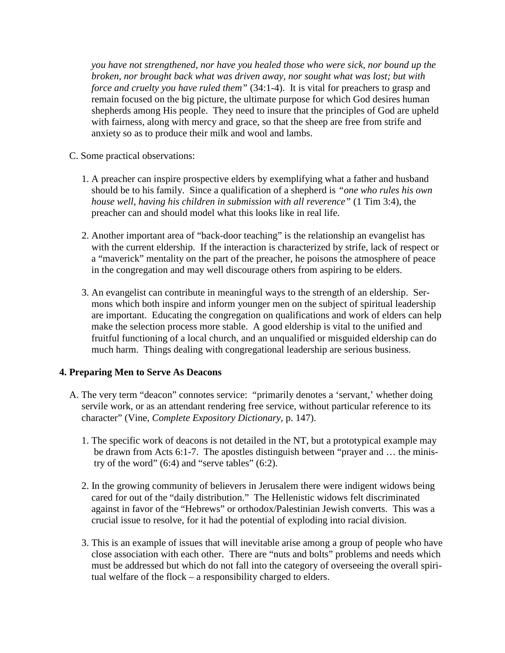*you have not strengthened, nor have you healed those who were sick, nor bound up the broken, nor brought back what was driven away, nor sought what was lost; but with force and cruelty you have ruled them"* (34:1-4).It is vital for preachers to grasp and remain focused on the big picture, the ultimate purpose for which God desires human shepherds among His people. They need to insure that the principles of God are upheld with fairness, along with mercy and grace, so that the sheep are free from strife and anxiety so as to produce their milk and wool and lambs.

- C. Some practical observations:
	- 1. A preacher can inspire prospective elders by exemplifying what a father and husband should be to his family. Since a qualification of a shepherd is *"one who rules his own house well, having his children in submission with all reverence"* (1 Tim 3:4), the preacher can and should model what this looks like in real life.
	- 2. Another important area of "back-door teaching" is the relationship an evangelist has with the current eldership. If the interaction is characterized by strife, lack of respect or a "maverick" mentality on the part of the preacher, he poisons the atmosphere of peace in the congregation and may well discourage others from aspiring to be elders.
	- 3. An evangelist can contribute in meaningful ways to the strength of an eldership. Ser mons which both inspire and inform younger men on the subject of spiritual leadership are important. Educating the congregation on qualifications and work of elders can help make the selection process more stable. A good eldership is vital to the unified and fruitful functioning of a local church, and an unqualified or misguided eldership can do much harm. Things dealing with congregational leadership are serious business.

# **4. Preparing Men to Serve As Deacons**

- A. The very term "deacon" connotes service: "primarily denotes a 'servant,' whether doing servile work, or as an attendant rendering free service, without particular reference to its character" (Vine, *Complete Expository Dictionary,* p. 147).
	- 1. The specific work of deacons is not detailed in the NT, but a prototypical example may be drawn from Acts 6:1-7. The apostles distinguish between "prayer and … the minis try of the word"  $(6:4)$  and "serve tables"  $(6:2)$ .
	- 2. In the growing community of believers in Jerusalem there were indigent widows being cared for out of the "daily distribution." The Hellenistic widows felt discriminated against in favor of the "Hebrews" or orthodox/Palestinian Jewish converts. This was a crucial issue to resolve, for it had the potential of exploding into racial division.
	- 3. This is an example of issues that will inevitable arise among a group of people who have close association with each other. There are "nuts and bolts" problems and needs which must be addressed but which do not fall into the category of overseeing the overall spiri tual welfare of the flock – a responsibility charged to elders.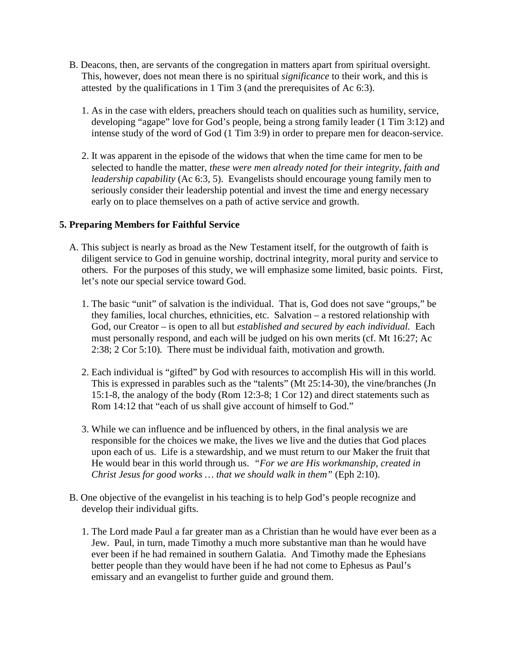- B. Deacons, then, are servants of the congregation in matters apart from spiritual oversight. This, however, does not mean there is no spiritual *significance* to their work, and this is attested by the qualifications in 1 Tim 3 (and the prerequisites of Ac 6:3).
	- 1. As in the case with elders, preachers should teach on qualities such as humility, service, developing "agape" love for God's people, being a strong family leader (1 Tim 3:12) and intense study of the word of God (1 Tim 3:9) in order to prepare men for deacon-service.
	- 2. It was apparent in the episode of the widows that when the time came for men to be selected to handle the matter, *these were men already noted for their integrity, faith and leadership capability* (Ac 6:3, 5). Evangelists should encourage young family men to seriously consider their leadership potential and invest the time and energy necessary early on to place themselves on a path of active service and growth.

# **5. Preparing Members for Faithful Service**

- A. This subject is nearly as broad as the New Testament itself, for the outgrowth of faith is diligent service to God in genuine worship, doctrinal integrity, moral purity and service to others. For the purposes of this study, we will emphasize some limited, basic points. First, let's note our special service toward God.
	- 1. The basic "unit" of salvation is the individual. That is, God does not save "groups," be they families, local churches, ethnicities, etc. Salvation – a restored relationship with God, our Creator – is open to all but *established and secured by each individual.* Each must personally respond, and each will be judged on his own merits (cf. Mt 16:27; Ac 2:38; 2 Cor 5:10)*.* There must be individual faith, motivation and growth.
	- 2. Each individual is "gifted" by God with resources to accomplish His will in this world. This is expressed in parables such as the "talents" (Mt 25:14-30), the vine/branches (Jn 15:1-8, the analogy of the body (Rom 12:3-8; 1 Cor 12) and direct statements such as Rom 14:12 that "each of us shall give account of himself to God."
	- 3. While we can influence and be influenced by others, in the final analysis we are responsible for the choices we make, the lives we live and the duties that God places upon each of us. Life is a stewardship, and we must return to our Maker the fruit that He would bear in this world through us. *"For we are His workmanship, created in Christ Jesus for good works … that we should walk in them"* (Eph 2:10).
- B. One objective of the evangelist in his teaching is to help God's people recognize and develop their individual gifts.
	- 1. The Lord made Paul a far greater man as a Christian than he would have ever been as a Jew. Paul, in turn, made Timothy a much more substantive man than he would have ever been if he had remained in southern Galatia. And Timothy made the Ephesians better people than they would have been if he had not come to Ephesus as Paul's emissary and an evangelist to further guide and ground them.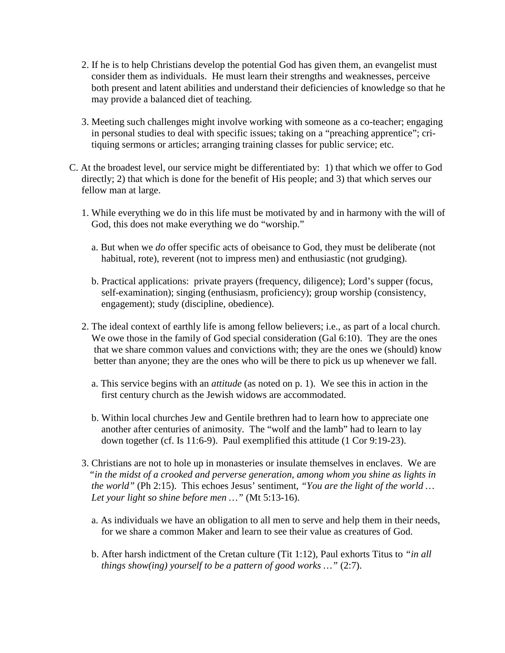- 2. If he is to help Christians develop the potential God has given them, an evangelist must consider them as individuals. He must learn their strengths and weaknesses, perceive both present and latent abilities and understand their deficiencies of knowledge so that he may provide a balanced diet of teaching.
- 3. Meeting such challenges might involve working with someone as a co-teacher; engaging in personal studies to deal with specific issues; taking on a "preaching apprentice"; cri tiquing sermons or articles; arranging training classes for public service; etc.
- C. At the broadest level, our service might be differentiated by: 1) that which we offer to God directly; 2) that which is done for the benefit of His people; and 3) that which serves our fellow man at large.
	- 1. While everything we do in this life must be motivated by and in harmony with the will of God, this does not make everything we do "worship."
		- a. But when we *do* offer specific acts of obeisance to God, they must be deliberate (not habitual, rote), reverent (not to impress men) and enthusiastic (not grudging).
		- b. Practical applications: private prayers (frequency, diligence); Lord's supper (focus, self-examination); singing (enthusiasm, proficiency); group worship (consistency, engagement); study (discipline, obedience).
	- 2. The ideal context of earthly life is among fellow believers; i.e., as part of a local church. We owe those in the family of God special consideration (Gal 6:10). They are the ones that we share common values and convictions with; they are the ones we (should) know better than anyone; they are the ones who will be there to pick us up whenever we fall.
		- a. This service begins with an *attitude* (as noted on p. 1). We see this in action in the first century church as the Jewish widows are accommodated.
		- b. Within local churches Jew and Gentile brethren had to learn how to appreciate one another after centuries of animosity. The "wolf and the lamb" had to learn to lay down together (cf. Is 11:6-9). Paul exemplified this attitude (1 Cor 9:19-23).
	- 3. Christians are not to hole up in monasteries or insulate themselves in enclaves. We are *"in the midst of a crooked and perverse generation, among whom you shine as lights in the world"* (Ph 2:15). This echoes Jesus' sentiment, *"You are the light of the world … Let your light so shine before men …"* (Mt 5:13-16).
		- a. As individuals we have an obligation to all men to serve and help them in their needs, for we share a common Maker and learn to see their value as creatures of God.
		- b. After harsh indictment of the Cretan culture (Tit 1:12), Paul exhorts Titus to *"in all things show(ing) yourself to be a pattern of good works ...*" (2:7).